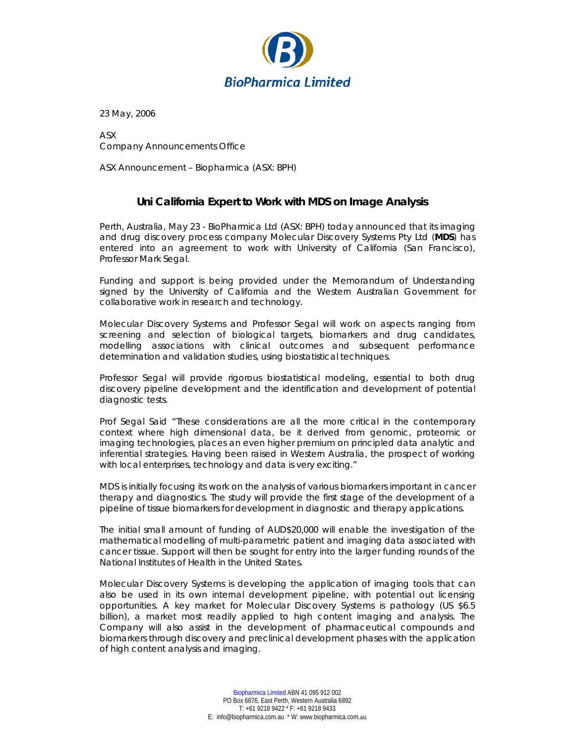

23 May, 2006

ASX Company Announcements Office

ASX Announcement – Biopharmica (ASX: BPH)

## **Uni California Expert to Work with MDS on Image Analysis**

Perth, Australia, May 23 - BioPharmica Ltd (ASX: BPH) today announced that its imaging and drug discovery process company Molecular Discovery Systems Pty Ltd (**MDS**) has entered into an agreement to work with University of California (San Francisco), Professor Mark Segal.

Funding and support is being provided under the Memorandum of Understanding signed by the University of California and the Western Australian Government for collaborative work in research and technology.

Molecular Discovery Systems and Professor Segal will work on aspects ranging from screening and selection of biological targets, biomarkers and drug candidates, modelling associations with clinical outcomes and subsequent performance determination and validation studies, using biostatistical techniques.

Professor Segal will provide rigorous biostatistical modeling, essential to both drug discovery pipeline development and the identification and development of potential diagnostic tests.

Prof Segal Said "These considerations are all the more critical in the contemporary context where high dimensional data, be it derived from genomic, proteomic or imaging technologies, places an even higher premium on principled data analytic and inferential strategies. Having been raised in Western Australia, the prospect of working with local enterprises, technology and data is very exciting."

MDS is initially focusing its work on the analysis of various biomarkers important in cancer therapy and diagnostics. The study will provide the first stage of the development of a pipeline of tissue biomarkers for development in diagnostic and therapy applications.

The initial small amount of funding of AUD\$20,000 will enable the investigation of the mathematical modelling of multi-parametric patient and imaging data associated with cancer tissue. Support will then be sought for entry into the larger funding rounds of the National Institutes of Health in the United States.

Molecular Discovery Systems is developing the application of imaging tools that can also be used in its own internal development pipeline, with potential out licensing opportunities. A key market for Molecular Discovery Systems is pathology (US \$6.5 billion), a market most readily applied to high content imaging and analysis. The Company will also assist in the development of pharmaceutical compounds and biomarkers through discovery and preclinical development phases with the application of high content analysis and imaging.